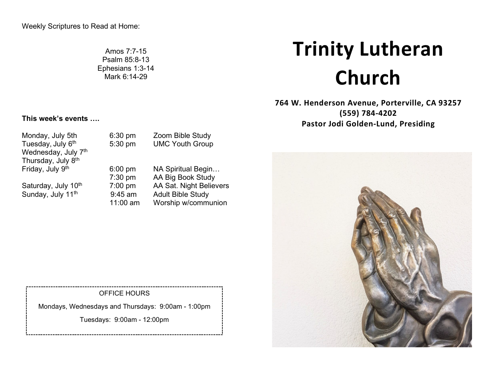Amos 7:7-15 Psalm 85:8-13 Ephesians 1:3-14 Mark 6:14-29

# **Trinity Lutheran Church**

**764 W. Henderson Avenue, Porterville, CA 93257 (559) 784-4202 Pastor Jodi Golden-Lund, Presiding**



# **This week's events ….**

Tuesday, July 6<sup>th</sup> 5:30 pm UMC Youth Group Wednesday, July 7<sup>th</sup> Thursday, July 8<sup>th</sup><br>Friday, July 9<sup>th</sup> Sunday, July 11<sup>th</sup>

Monday, July 5th 6:30 pm Zoom Bible Study

6:00 pm NA Spiritual Begin... 7:30 pm AA Big Book Study Saturday, July 10<sup>th</sup> 7:00 pm AA Sat. Night Believers<br>Sunday, July 11<sup>th</sup> 9:45 am Adult Bible Study 11:00 am Worship w/communion

#### OFFICE HOURS

Mondays, Wednesdays and Thursdays: 9:00am - 1:00pm

Tuesdays: 9:00am - 12:00pm